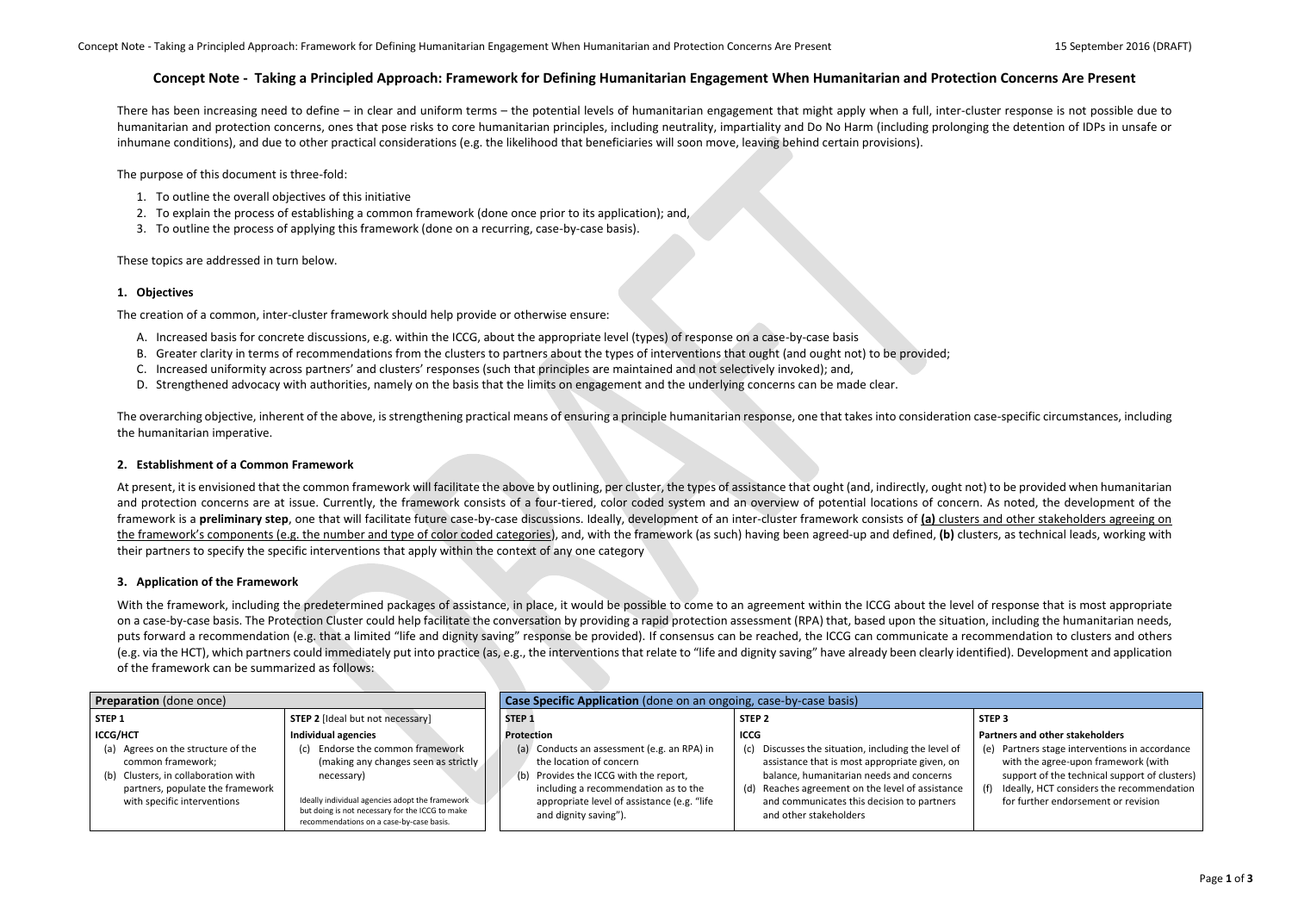## **Concept Note - Taking a Principled Approach: Framework for Defining Humanitarian Engagement When Humanitarian and Protection Concerns Are Present**

There has been increasing need to define – in clear and uniform terms – the potential levels of humanitarian engagement that might apply when a full, inter-cluster response is not possible due to humanitarian and protection concerns, ones that pose risks to core humanitarian principles, including neutrality, impartiality and Do No Harm (including prolonging the detention of IDPs in unsafe or inhumane conditions), and due to other practical considerations (e.g. the likelihood that beneficiaries will soon move, leaving behind certain provisions).

The purpose of this document is three-fold:

- 1. To outline the overall objectives of this initiative
- 2. To explain the process of establishing a common framework (done once prior to its application); and,
- 3. To outline the process of applying this framework (done on a recurring, case-by-case basis).

The overarching objective, inherent of the above, is strengthening practical means of ensuring a principle humanitarian response, one that takes into consideration case-specific circumstances, including the humanitarian imperative.

These topics are addressed in turn below.

## **1. Objectives**

The creation of a common, inter-cluster framework should help provide or otherwise ensure:

At present, it is envisioned that the common framework will facilitate the above by outlining, per cluster, the types of assistance that ought (and, indirectly, ought not) to be provided when humanitarian and protection concerns are at issue. Currently, the framework consists of a four-tiered, color coded system and an overview of potential locations of concern. As noted, the development of the framework is a **preliminary step**, one that will facilitate future case-by-case discussions. Ideally, development of an inter-cluster framework consists of **(a)** clusters and other stakeholders agreeing on the framework's components (e.g. the number and type of color coded categories), and, with the framework (as such) having been agreed-up and defined, **(b)** clusters, as technical leads, working with their partners to specify the specific interventions that apply within the context of any one category

- A. Increased basis for concrete discussions, e.g. within the ICCG, about the appropriate level (types) of response on a case-by-case basis
- B. Greater clarity in terms of recommendations from the clusters to partners about the types of interventions that ought (and ought not) to be provided;
- C. Increased uniformity across partners' and clusters' responses (such that principles are maintained and not selectively invoked); and,
- D. Strengthened advocacy with authorities, namely on the basis that the limits on engagement and the underlying concerns can be made clear.

With the framework, including the predetermined packages of assistance, in place, it would be possible to come to an agreement within the ICCG about the level of response that is most appropriate on a case-by-case basis. The Protection Cluster could help facilitate the conversation by providing a rapid protection assessment (RPA) that, based upon the situation, including the humanitarian needs, puts forward a recommendation (e.g. that a limited "life and dignity saving" response be provided). If consensus can be reached, the ICCG can communicate a recommendation to clusters and others (e.g. via the HCT), which partners could immediately put into practice (as, e.g., the interventions that relate to "life and dignity saving" have already been clearly identified). Development and application of the framework can be summarized as follows:

## **2. Establishment of a Common Framework**

## **3. Application of the Framework**

| <b>Preparation</b> (done once)                                             |                                                                                                                                                |  |                   | Case Specific Application (done on an ongoing, case-by-case basis)             |  |                                                                                                  |                   |
|----------------------------------------------------------------------------|------------------------------------------------------------------------------------------------------------------------------------------------|--|-------------------|--------------------------------------------------------------------------------|--|--------------------------------------------------------------------------------------------------|-------------------|
| STEP <sub>1</sub>                                                          | <b>STEP 2</b> [Ideal but not necessary]                                                                                                        |  | STEP <sub>1</sub> |                                                                                |  | STEP <sub>2</sub>                                                                                | STEP <sub>3</sub> |
| <b>ICCG/HCT</b>                                                            | Individual agencies                                                                                                                            |  | Protection        |                                                                                |  | <b>ICCG</b>                                                                                      | Partne            |
| Agrees on the structure of the<br>(a)<br>common framework;                 | Endorse the common framework<br>(c)<br>(making any changes seen as strictly                                                                    |  |                   | (a) Conducts an assessment (e.g. an RPA) in<br>the location of concern         |  | Discusses the situation, including the level of<br>assistance that is most appropriate given, on | (e) P             |
| Clusters, in collaboration with<br>(b)<br>partners, populate the framework | necessary)                                                                                                                                     |  |                   | (b) Provides the ICCG with the report,<br>including a recommendation as to the |  | balance, humanitarian needs and concerns<br>(d) Reaches agreement on the level of assistance     | $(f)$ Io          |
| with specific interventions                                                | Ideally individual agencies adopt the framework<br>but doing is not necessary for the ICCG to make<br>recommendations on a case-by-case basis. |  |                   | appropriate level of assistance (e.g. "life<br>and dignity saving").           |  | and communicates this decision to partners<br>and other stakeholders                             |                   |

### **Partners and other stakeholders**

- (e) Partners stage interventions in accordance with the agree-upon framework (with support of the technical support of clusters)
- (f) Ideally, HCT considers the recommendation for further endorsement or revision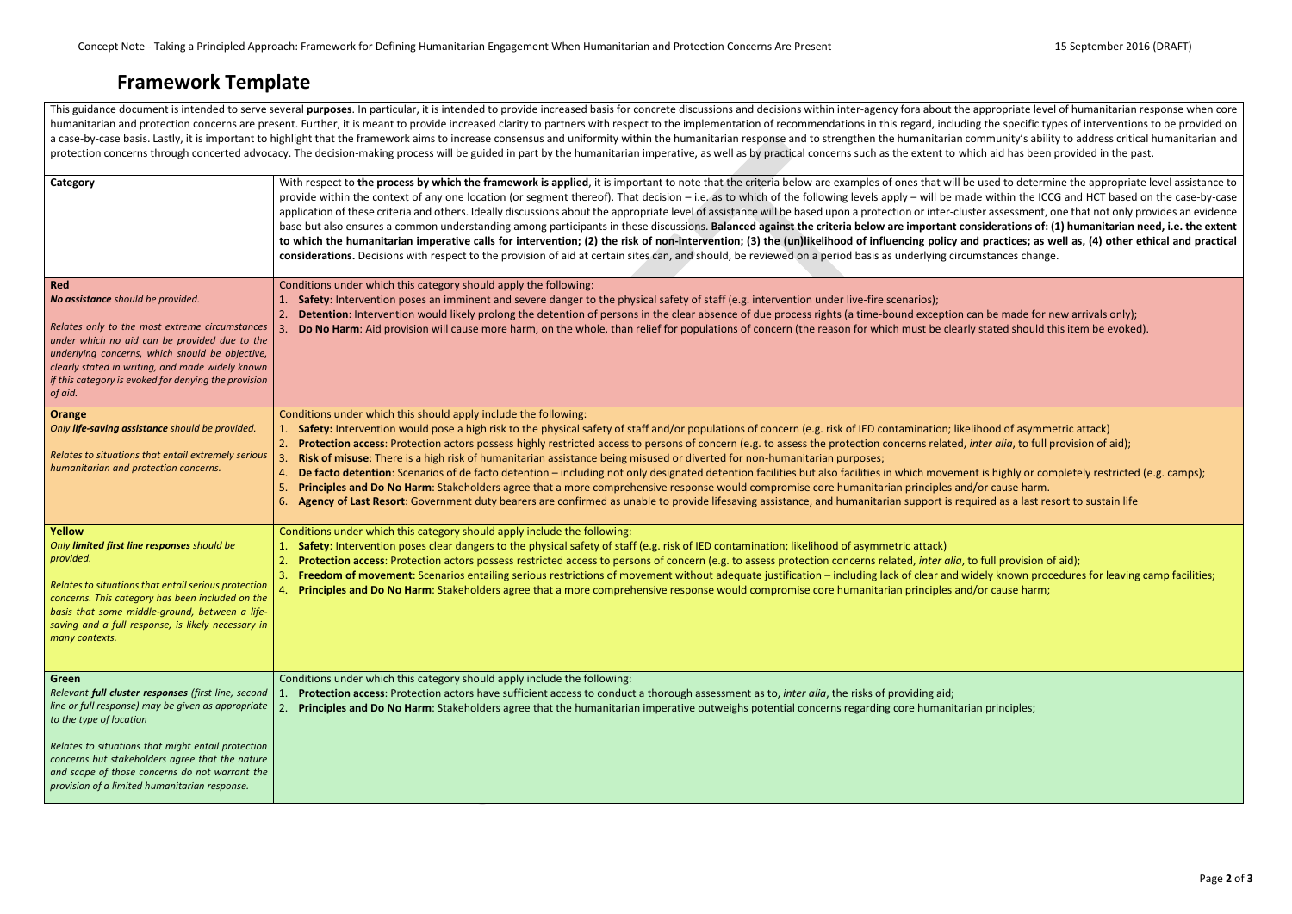Concept Note - Taking a Principled Approach: Framework for Defining Humanitarian Engagement When Humanitarian and Protection Concerns Are Present 15 September 2016 (DRAFT)

## **Framework Template**

This guidance document is intended to serve several purposes. In particular, it is intended to provide increased basis for concrete discussions and decisions within inter-agency fora about the appropriate level of humanita humanitarian and protection concerns are present. Further, it is meant to provide increased clarity to partners with respect to the implementation of recommendations in this regard, including the specific types of interven a case-by-case basis. Lastly, it is important to highlight that the framework aims to increase consensus and uniformity within the humanitarian response and to strengthen the humanitarian community's ability to address cri protection concerns through concerted advocacy. The decision-making process will be guided in part by the humanitarian imperative, as well as by practical concerns such as the extent to which aid has been provided in the p

| Category                                                                                                                                                                                                                                                                                                                                                  | With respect to the process by which the framework is applied, it is important to note that the criteria below are examples of ones that will be used to determin<br>provide within the context of any one location (or segment thereof). That decision – i.e. as to which of the following levels apply – will be made within the ICCC<br>application of these criteria and others. Ideally discussions about the appropriate level of assistance will be based upon a protection or inter-cluster assessment, or<br>base but also ensures a common understanding among participants in these discussions. Balanced against the criteria below are important considerations of: (1<br>to which the humanitarian imperative calls for intervention; (2) the risk of non-intervention; (3) the (un)likelihood of influencing policy and practices; as we<br>considerations. Decisions with respect to the provision of aid at certain sites can, and should, be reviewed on a period basis as underlying circumstances change.                          |
|-----------------------------------------------------------------------------------------------------------------------------------------------------------------------------------------------------------------------------------------------------------------------------------------------------------------------------------------------------------|--------------------------------------------------------------------------------------------------------------------------------------------------------------------------------------------------------------------------------------------------------------------------------------------------------------------------------------------------------------------------------------------------------------------------------------------------------------------------------------------------------------------------------------------------------------------------------------------------------------------------------------------------------------------------------------------------------------------------------------------------------------------------------------------------------------------------------------------------------------------------------------------------------------------------------------------------------------------------------------------------------------------------------------------------------|
| <b>Red</b><br>No assistance should be provided.<br>Relates only to the most extreme circumstances<br>under which no aid can be provided due to the<br>underlying concerns, which should be objective,<br>clearly stated in writing, and made widely known<br>if this category is evoked for denying the provision<br>of aid.                              | Conditions under which this category should apply the following:<br>Safety: Intervention poses an imminent and severe danger to the physical safety of staff (e.g. intervention under live-fire scenarios);<br>Detention: Intervention would likely prolong the detention of persons in the clear absence of due process rights (a time-bound exception can be made for ne<br>Do No Harm: Aid provision will cause more harm, on the whole, than relief for populations of concern (the reason for which must be clearly stated should th                                                                                                                                                                                                                                                                                                                                                                                                                                                                                                              |
| <b>Orange</b><br>Only life-saving assistance should be provided.<br>Relates to situations that entail extremely serious<br>humanitarian and protection concerns.                                                                                                                                                                                          | Conditions under which this should apply include the following:<br>Safety: Intervention would pose a high risk to the physical safety of staff and/or populations of concern (e.g. risk of IED contamination; likelihood of asymme<br>Protection access: Protection actors possess highly restricted access to persons of concern (e.g. to assess the protection concerns related, inter alia, to full protection<br>Risk of misuse: There is a high risk of humanitarian assistance being misused or diverted for non-humanitarian purposes;<br>De facto detention: Scenarios of de facto detention - including not only designated detention facilities but also facilities in which movement is highly or com<br>4.<br>Principles and Do No Harm: Stakeholders agree that a more comprehensive response would compromise core humanitarian principles and/or cause harm.<br>5<br>Agency of Last Resort: Government duty bearers are confirmed as unable to provide lifesaving assistance, and humanitarian support is required as a last reso<br>6. |
| <b>Yellow</b><br>Only limited first line responses should be<br>provided.<br>Relates to situations that entail serious protection<br>concerns. This category has been included on the<br>basis that some middle-ground, between a life-<br>saving and a full response, is likely necessary in<br>many contexts.                                           | Conditions under which this category should apply include the following:<br>Safety: Intervention poses clear dangers to the physical safety of staff (e.g. risk of IED contamination; likelihood of asymmetric attack)<br>Protection access: Protection actors possess restricted access to persons of concern (e.g. to assess protection concerns related, inter alia, to full provision of<br>$\mathbf{2}$<br>Freedom of movement: Scenarios entailing serious restrictions of movement without adequate justification - including lack of clear and widely known proce<br>3.<br>Principles and Do No Harm: Stakeholders agree that a more comprehensive response would compromise core humanitarian principles and/or cause harm;                                                                                                                                                                                                                                                                                                                   |
| Green<br>Relevant full cluster responses (first line, second<br>line or full response) may be given as appropriate<br>to the type of location<br>Relates to situations that might entail protection<br>concerns but stakeholders agree that the nature<br>and scope of those concerns do not warrant the<br>provision of a limited humanitarian response. | Conditions under which this category should apply include the following:<br>Protection access: Protection actors have sufficient access to conduct a thorough assessment as to, inter alia, the risks of providing aid;<br>Principles and Do No Harm: Stakeholders agree that the humanitarian imperative outweighs potential concerns regarding core humanitarian principles;<br>2.                                                                                                                                                                                                                                                                                                                                                                                                                                                                                                                                                                                                                                                                   |

used to determine the appropriate level assistance to e within the ICCG and HCT based on the case-by-case er assessment, one that not only provides an evidence siderations of: (1) humanitarian need, i.e. the extent practices; as well as, (4) other ethical and practical

n be made for new arrivals only); stated should this item be evoked).

**hood of asymmetric attack)** rter alia, to full provision of aid);

is highly or completely restricted (e.g. camps); red as a last resort to sustain life

full provision of aid); dely known procedures for leaving camp facilities;